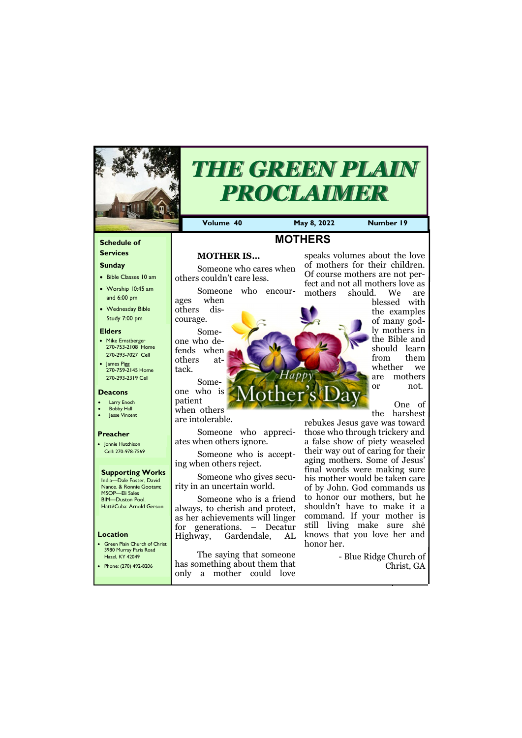#### **Schedule of Services**

#### **Sunday**

- Bible Classes 10 am
- Worship 10:45 am and 6:00 pm
- Wednesday Bible Study 7:00 pm

#### **Elders**

- Mike Ernstberger 270-753-2108 Home 270-293-7027 Cell
- James Pigg 270-759-2145 Home 270-293-2319 Cell

#### **Location**

• Green Plain Church of Christ 3980 Murray Paris Road Hazel, KY 42049



# *THE GREEN PLAIN PROCLAIMER*

**Volume 40 May 8, 2022 Number 19**

#### **Deacons**

- **Larry Enoch**
- **Bobby Hall**
- **Jesse Vincent**

#### **Preacher**

• Jonnie Hutchison Cell: 270-978-7569

#### **Supporting Works**

India—Dale Foster, David Nance. & Ronnie Gootam; MSOP—Eli Sales BIM—Duston Pool. Hatti/Cuba: Arnold Gerson

# **MOTHERS**

## **MOTHER IS…**

Someone who cares when others couldn't care less.

Someone who encourages when others dis-

courage. Someone who defends when others attack.

Someone who is patient when others

are intolerable.

Someone who appreciates when others ignore.

Someone who is accepting when others reject.

Someone who gives security in an uncertain world.

Someone who is a friend always, to cherish and protect, as her achievements will linger for generations. – Decatur Highway, Gardendale, AL

| יום בכו, ומידוד את<br>Phone: (270) 492-8206 | I has something about them that           | Diuc Ruge Church of<br>Christ, GA |
|---------------------------------------------|-------------------------------------------|-----------------------------------|
|                                             | mother could love<br>only<br><sub>a</sub> |                                   |

The saying that someone

speaks volumes about the love of mothers for their children. Of course mothers are not perfect and not all mothers love as mothers should. We are

blessed with the examples of many godly mothers in the Bible and should learn from them whether we are mothers or not.

One of the harshest

rebukes Jesus gave was toward those who through trickery and a false show of piety weaseled their way out of caring for their aging mothers. Some of Jesus' final words were making sure his mother would be taken care of by John. God commands us to honor our mothers, but he shouldn't have to make it a command. If your mother is still living make sure she knows that you love her and honor her.

- Blue Ridge Church of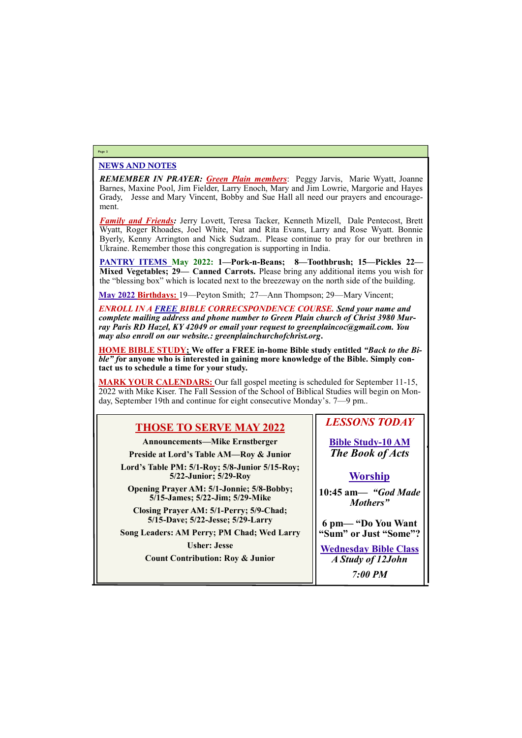### NEWS AND NOTES

*REMEMBER IN PRAYER: Green Plain members*: Peggy Jarvis, Marie Wyatt, Joanne Barnes, Maxine Pool, Jim Fielder, Larry Enoch, Mary and Jim Lowrie, Margorie and Hayes Grady, Jesse and Mary Vincent, Bobby and Sue Hall all need our prayers and encouragement.

*Family and Friends:* Jerry Lovett, Teresa Tacker, Kenneth Mizell, Dale Pentecost, Brett Wyatt, Roger Rhoades, Joel White, Nat and Rita Evans, Larry and Rose Wyatt. Bonnie Byerly, Kenny Arrington and Nick Sudzam.. Please continue to pray for our brethren in Ukraine. Remember those this congregation is supporting in India.

**PANTRY ITEMS May 2022: 1—Pork-n-Beans; 8—Toothbrush; 15—Pickles 22— Mixed Vegetables; 29— Canned Carrots.** Please bring any additional items you wish for the "blessing box" which is located next to the breezeway on the north side of the building.

**May 2022 Birthdays:** 19—Peyton Smith; 27—Ann Thompson; 29—Mary Vincent;

*ENROLL IN A FREE BIBLE CORRECSPONDENCE COURSE. Send your name and complete mailing address and phone number to Green Plain church of Christ 3980 Murray Paris RD Hazel, KY 42049 or email your request to greenplaincoc@gmail.com. You may also enroll on our website.: greenplainchurchofchrist.org***.**

**HOME BIBLE STUDY; We offer a FREE in-home Bible study entitled** *"Back to the Bible*" for anyone who is interested in gaining more knowledge of the Bible. Simply con**tact us to schedule a time for your study.**

**MARK YOUR CALENDARS:** Our fall gospel meeting is scheduled for September 11-15, 2022 with Mike Kiser. The Fall Session of the School of Biblical Studies will begin on Monday, September 19th and continue for eight consecutive Monday's. 7—9 pm..

#### **Page 2**

# **THOSE TO SERVE MAY 2022**

**Announcements—Mike Ernstberger**

**Preside at Lord's Table AM—Roy & Junior**

**Lord's Table PM: 5/1-Roy; 5/8-Junior 5/15-Roy; 5/22-Junior; 5/29-Roy**

**Opening Prayer AM: 5/1-Jonnie; 5/8-Bobby; 5/15-James; 5/22-Jim; 5/29-Mike**

**Closing Prayer AM: 5/1-Perry; 5/9-Chad; 5/15-Dave; 5/22-Jesse; 5/29-Larry**

**Song Leaders: AM Perry; PM Chad; Wed Larry**

**Usher: Jesse**

**Count Contribution: Roy & Junior**

# *LESSONS TODAY*

**Bible Study-10 AM** *The Book of Acts*

## **Worship**

**10:45 am***— "God Made Mothers"*

**6 pm— "Do You Want "Sum" or Just "Some"?**

**Wednesday Bible Class**

| <b>Count Contribution: Roy &amp; Junior</b> | A Study of 12John |
|---------------------------------------------|-------------------|
|                                             | <b>7:00 PM</b>    |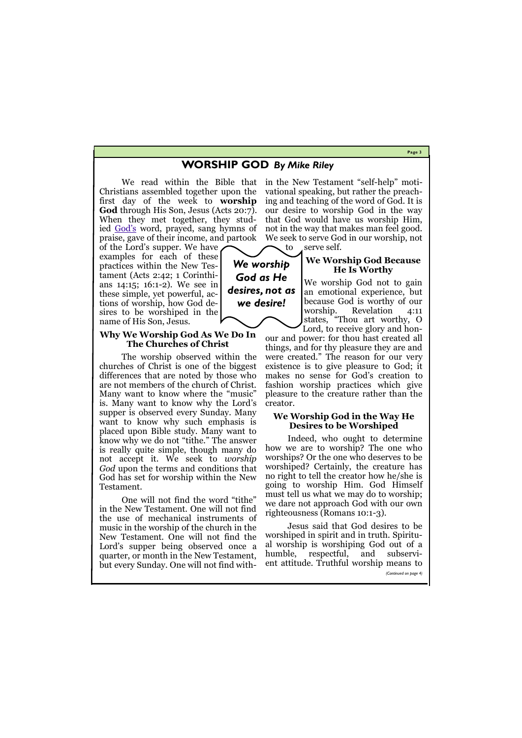#### **Page 3**

# **WORSHIP GOD** *By Mike Riley*

Christians assembled together upon the first day of the week to **worship God** through His Son, Jesus (Acts 20:7). When they met together, they studied [God](https://gewatkins.net/who-is-god/)'s word, prayed, sang hymns of praise, gave of their income, and partook

of the Lord's supper. We have examples for each of these practices within the New Testament (Acts 2:42; 1 Corinthians 14:15; 16:1-2). We see in these simple, yet powerful, actions of worship, how God desires to be worshiped in the name of His Son, Jesus.

## **Why We Worship God As We Do In The Churches of Christ**

The worship observed within the churches of Christ is one of the biggest differences that are noted by those who are not members of the church of Christ. Many want to know where the "music" is. Many want to know why the Lord's supper is observed every Sunday. Many want to know why such emphasis is placed upon Bible study. Many want to know why we do not "tithe." The answer is really quite simple, though many do not accept it. We seek to *worship God* upon the terms and conditions that God has set for worship within the New Testament.

We read within the Bible that in the New Testament "self-help" motivational speaking, but rather the preaching and teaching of the word of God. It is our desire to worship God in the way that God would have us worship Him, not in the way that makes man feel good. We seek to serve God in our worship, not

to serve self.

One will not find the word "tithe" in the New Testament. One will not find the use of mechanical instruments of music in the worship of the church in the New Testament. One will not find the Lord's supper being observed once a quarter, or month in the New Testament,

but every Sunday. One will not find with- ent attitude. Truthful worship means to *(Continued on page 4)*

## **We Worship God Because He Is Worthy**

We worship God not to gain an emotional experience, but because God is worthy of our worship. Revelation 4:11 states, "Thou art worthy, O

Lord, to receive glory and honour and power: for thou hast created all things, and for thy pleasure they are and were created." The reason for our very existence is to give pleasure to God; it makes no sense for God's creation to fashion worship practices which give pleasure to the creature rather than the creator.

#### **We Worship God in the Way He Desires to be Worshiped**

Indeed, who ought to determine how we are to worship? The one who worships? Or the one who deserves to be worshiped? Certainly, the creature has no right to tell the creator how he/she is going to worship Him. God Himself must tell us what we may do to worship; we dare not approach God with our own righteousness (Romans 10:1-3).

Jesus said that God desires to be worshiped in spirit and in truth. Spiritual worship is worshiping God out of a humble, respectful, and subservi-

*We worship God as He desires, not as we desire!*